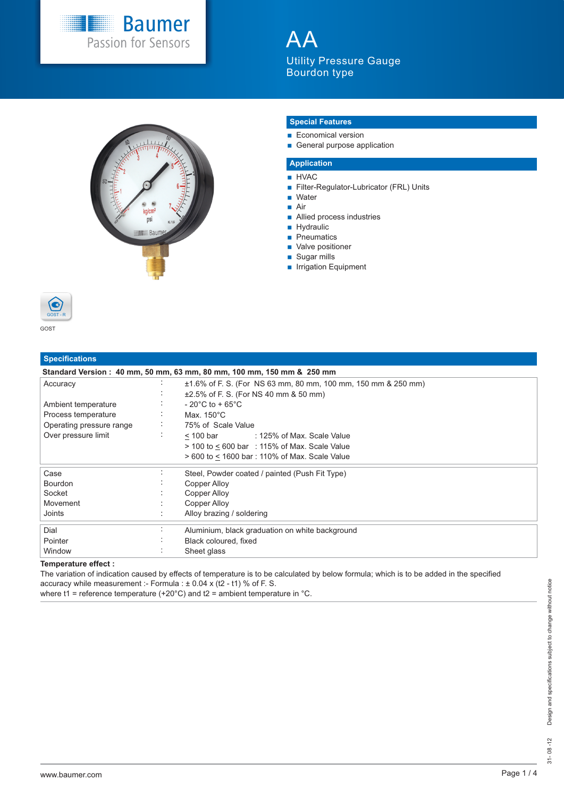

 $\blacktriangle$ Utility Pressure Gauge Bourdon type



### **Special Features**

- **Economical version**
- General purpose application

# **Application**

- **HVAC**
- Filter-Regulator-Lubricator (FRL) Units
- Water ■ Air
- **Allied process industries**
- **Hydraulic**
- **P**neumatics
- Valve positioner
- Sugar mills
- **Irrigation Equipment**



| <b>Specifications</b>    |        |                                                                       |
|--------------------------|--------|-----------------------------------------------------------------------|
|                          |        | Standard Version: 40 mm, 50 mm, 63 mm, 80 mm, 100 mm, 150 mm & 250 mm |
| Accuracy                 | $\sim$ | ±1.6% of F. S. (For NS 63 mm, 80 mm, 100 mm, 150 mm & 250 mm)         |
|                          |        | ±2.5% of F. S. (For NS 40 mm & 50 mm)                                 |
| Ambient temperature      |        | $-20^{\circ}$ C to + 65 $^{\circ}$ C                                  |
| Process temperature      |        | Max. 150°C                                                            |
| Operating pressure range | $\sim$ | 75% of Scale Value                                                    |
| Over pressure limit      | ÷      | < 100 bar<br>: 125% of Max. Scale Value                               |
|                          |        | $>$ 100 to $\leq$ 600 bar : 115% of Max. Scale Value                  |
|                          |        | > 600 to < 1600 bar: 110% of Max. Scale Value                         |
| Case                     |        | Steel, Powder coated / painted (Push Fit Type)                        |
| <b>Bourdon</b>           |        | Copper Alloy                                                          |
| Socket                   |        | Copper Alloy                                                          |
| Movement                 |        | Copper Alloy                                                          |
| Joints                   |        | Alloy brazing / soldering                                             |
| Dial                     |        | Aluminium, black graduation on white background                       |
| Pointer                  |        | Black coloured, fixed                                                 |
| Window                   |        | Sheet glass                                                           |

### **Temperature effect :**

The variation of indication caused by effects of temperature is to be calculated by below formula; which is to be added in the specified accuracy while measurement :- Formula :  $\pm$  0.04 x (t2 - t1) % of F. S.

where t1 = reference temperature (+20°C) and t2 = ambient temperature in °C.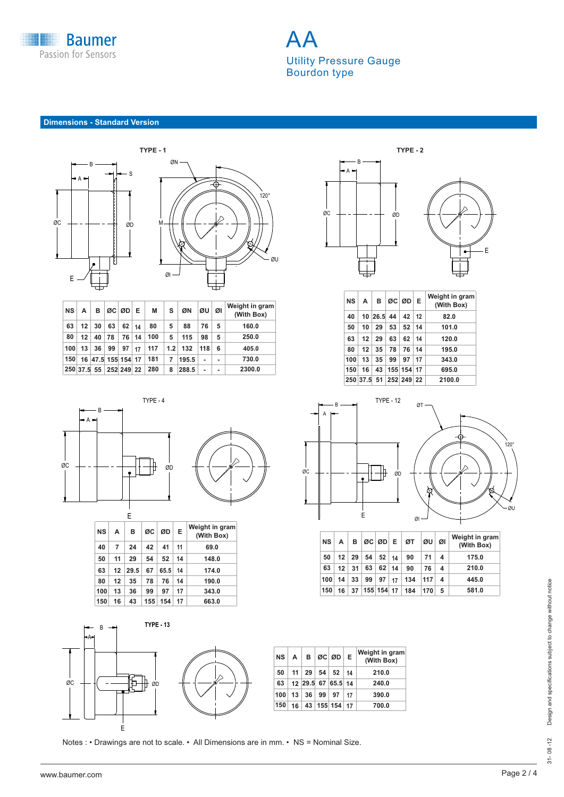

AA Utility Pressure Gauge Bourdon type

**Dimensions - Standard Version**



| <b>NS</b> | А                      | в                  |                 | ØC ØD E |    | М   | s                | ØΝ    | ØU             | ØI | Weight in gram<br>(With Box) |
|-----------|------------------------|--------------------|-----------------|---------|----|-----|------------------|-------|----------------|----|------------------------------|
| 63        | 12 <sup>1</sup>        | 30                 | 63              | 62      | 14 | 80  | 5                | 88    | 76             | 5  | 160.0                        |
| 80        | 12                     | 40                 | 78              | 76      | 14 | 100 | 5                | 115   | 98             | 5  | 250.0                        |
| 100       | 13                     | 36                 | 99 <sup>°</sup> | 97      | 17 | 117 | 1.2 <sub>1</sub> | 132   | 118            | 6  | 405.0                        |
| 150       |                        | 16 47.5 155 154 17 |                 |         |    | 181 | 7                | 195.5 |                |    | 730.0                        |
|           | 250 37.5 55 252 249 22 |                    |                 |         |    | 280 | 8                | 288.5 | $\blacksquare$ |    | 2300.0                       |



|           |                | E    |     |      |    |                              |
|-----------|----------------|------|-----|------|----|------------------------------|
| <b>NS</b> | A              | в    | ØC  | ØD   | Е  | Weight in gram<br>(With Box) |
| 40        | $\overline{7}$ | 24   | 42  | 41   | 11 | 69.0                         |
| 50        | 11             | 29   | 54  | 52   | 14 | 148.0                        |
| 63        | 12             | 29.5 | 67  | 65.5 | 14 | 174.0                        |
| 80        | 12             | 35   | 78  | 76   | 14 | 190.0                        |
| 100       | 13             | 36   | 99  | 97   | 17 | 343.0                        |
| 150       | 16             | 43   | 155 | 154  | 17 | 663.0                        |



| NS A |              | B ØC ØD E                |    | Weight in gram<br>(With Box) |
|------|--------------|--------------------------|----|------------------------------|
| 50   |              | $11 \ 29 \ 54 \ 52 \ 14$ |    | 210.0                        |
| 63   |              | 12 29.5 67 65.5 14       |    | 240.0                        |
| 100  | $13 \mid 36$ | $99 \mid 97$             | 17 | 390.0                        |
| 150  |              | 16 43 155 154 17         |    | 700.0                        |

Notes : • Drawings are not to scale. • All Dimensions are in mm. • NS = Nominal Size.



| NS I | A       | <b>B</b>               |    | ØC ØD E       |    | Weight in gram<br>(With Box) |
|------|---------|------------------------|----|---------------|----|------------------------------|
| 40   |         | 10 26.5 44             |    | $42 \mid 12$  |    | 82.0                         |
| 50   | 10      | - 29                   | 53 | $52 \mid 14$  |    | 101.0                        |
| 63   |         | $12 \mid 29$           | 63 | $62 \mid 14$  |    | 120.0                        |
| 80   | $12 \,$ | -35                    | 78 | 76 14         |    | 195.0                        |
| 100  | 13      | 35                     | 99 | 97            | 17 | 343.0                        |
| 150  | 16      |                        |    | 43 155 154 17 |    | 695.0                        |
|      |         | 250 37.5 51 252 249 22 |    |               |    | 2100.0                       |



| <b>NS</b> | $\mathsf{A}$ | в  |                 |            |    | ØC ØD E ØT | ØU  | ØI                  | Weight in gram<br>(With Box) |
|-----------|--------------|----|-----------------|------------|----|------------|-----|---------------------|------------------------------|
| 50        | 12           | 29 | 54              | 52         | 14 | 90         | 71  | $\overline{\bf{4}}$ | 175.0                        |
| 63        | 12           | 31 | 63              | 62         | 14 | 90         | 76  | 4                   | 210.0                        |
| 100       | 14           | 33 | 99 <sub>1</sub> | 97         | 17 | 134        | 117 | -4                  | 445.0                        |
| 150       | 16           | 37 |                 | 155 154 17 |    | 184        | 170 | 5                   | 581.0                        |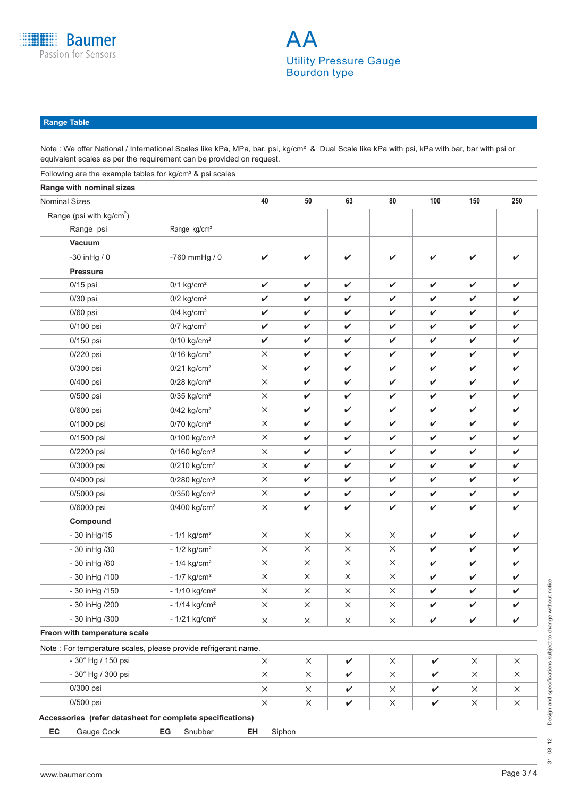

## **Range Table**

Note : We offer National / International Scales like kPa, MPa, bar, psi, kg/cm<sup>2</sup> & Dual Scale like kPa with psi, kPa with bar, bar with psi or equivalent scales as per the requirement can be provided on request.

| Following are the example tables for kg/cm <sup>2</sup> & psi scales |                            |              |          |              |          |              |              |              |
|----------------------------------------------------------------------|----------------------------|--------------|----------|--------------|----------|--------------|--------------|--------------|
| Range with nominal sizes                                             |                            |              |          |              |          |              |              |              |
| <b>Nominal Sizes</b>                                                 |                            | 40           | 50       | 63           | 80       | 100          | 150          | 250          |
| Range (psi with kg/cm <sup>2</sup> )                                 |                            |              |          |              |          |              |              |              |
| Range psi                                                            | Range kg/cm <sup>2</sup>   |              |          |              |          |              |              |              |
| <b>Vacuum</b>                                                        |                            |              |          |              |          |              |              |              |
| -30 inHg / 0                                                         | -760 mmHg / 0              | $\checkmark$ | V        | V            | V        | V            | $\checkmark$ | V            |
| <b>Pressure</b>                                                      |                            |              |          |              |          |              |              |              |
| $0/15$ psi                                                           | $0/1$ kg/cm <sup>2</sup>   | V            | ✓        | V            | V        | $\checkmark$ | V            | ✓            |
| $0/30$ psi                                                           | $0/2$ kg/cm <sup>2</sup>   | V            | V        | V            | V        | $\checkmark$ | V            | V            |
| 0/60 psi                                                             | $0/4$ kg/cm <sup>2</sup>   | V            | V        | V            | V        | $\checkmark$ | V            | V            |
| 0/100 psi                                                            | $0/7$ kg/cm <sup>2</sup>   | V            | V        | V            | V        | $\checkmark$ | $\checkmark$ | V            |
| 0/150 psi                                                            | $0/10$ kg/cm <sup>2</sup>  | V            | V        | V            | V        | V            | V            | V            |
| 0/220 psi                                                            | $0/16$ kg/cm <sup>2</sup>  | X            | V        | V            | V        | V            | V            | ✓            |
| 0/300 psi                                                            | $0/21$ kg/cm <sup>2</sup>  | $\times$     | V        | V            | V        | $\checkmark$ | V            | V            |
| 0/400 psi                                                            | $0/28$ kg/cm <sup>2</sup>  | ×            | V        | V            | V        | $\checkmark$ | V            | V            |
| 0/500 psi                                                            | $0/35$ kg/cm <sup>2</sup>  | $\times$     | V        | V            | V        | $\checkmark$ | $\checkmark$ | V            |
| 0/600 psi                                                            | $0/42$ kg/cm <sup>2</sup>  | X            | V        | V            | V        | V            | V            | V            |
| 0/1000 psi                                                           | $0/70$ kg/cm <sup>2</sup>  | X            | V        | V            | V        | V            | V            | V            |
| 0/1500 psi                                                           | $0/100$ kg/cm <sup>2</sup> | X            | V        | $\checkmark$ | V        | $\checkmark$ | V            | V            |
| 0/2200 psi                                                           | $0/160$ kg/cm <sup>2</sup> | ×            | V        | V            | V        | $\checkmark$ | V            | V            |
| 0/3000 psi                                                           | $0/210$ kg/cm <sup>2</sup> | $\times$     | V        | V            | V        | V            | V            | V            |
| 0/4000 psi                                                           | $0/280$ kg/cm <sup>2</sup> | $\times$     | V        | V            | V        | V            | V            | V            |
| 0/5000 psi                                                           | $0/350$ kg/cm <sup>2</sup> | $\times$     | V        | V            | V        | V            | V            | V            |
| 0/6000 psi                                                           | $0/400$ kg/cm <sup>2</sup> | $\times$     | V        | V            | V        | $\checkmark$ | V            | ✓            |
| Compound                                                             |                            |              |          |              |          |              |              |              |
| - 30 in Hg/15                                                        | $-1/1$ kg/cm <sup>2</sup>  | X            | $\times$ | $\times$     | X        | V            | V            | ✓            |
| - 30 in Hg / 30                                                      | $-1/2$ kg/cm <sup>2</sup>  | $\times$     | $\times$ | $\times$     | $\times$ | V            | V            | V            |
| - 30 in Hg /60                                                       | $-1/4$ kg/cm <sup>2</sup>  | X            | $\times$ | $\times$     | X        | V            | V            | V            |
| - 30 in Hg / 100                                                     | - $1/7$ kg/cm <sup>2</sup> | X            | $\times$ | $\times$     | X        | $\checkmark$ | $\checkmark$ | $\checkmark$ |
| - 30 in Hg / 150                                                     | $-1/10$ kg/cm <sup>2</sup> | $\times$     | $\times$ | $\times$     | $\times$ |              |              |              |
| - 30 in Hg / 200                                                     | $-1/14$ kg/cm <sup>2</sup> | $\times$     | ×        | $\times$     | X        | V            | ✓            | V            |
| - 30 in Hg / 300                                                     | $-1/21$ kg/cm <sup>2</sup> | $\times$     | $\times$ | $\times$     | $\times$ | $\checkmark$ | V            | V            |
| Freon with temperature scale                                         |                            |              |          |              |          |              |              |              |
| Note : For temperature scales, please provide refrigerant name.      |                            |              |          |              |          |              |              |              |
| - 30" Hg / 150 psi                                                   |                            | $\times$     | $\times$ | V            | $\times$ | V            | $\times$     | X            |
| - 30" Hg / 300 psi                                                   |                            | $\times$     | X        | V            | $\times$ | V            | X            | X            |
| 0/300 psi                                                            |                            | $\times$     | X        | V            | ×        | V            | $\times$     | ×            |
| 0/500 psi                                                            |                            | $\times$     | X        | $\checkmark$ | X        | V            | $\times$     | X            |
| Accessories (refer datasheet for complete specifications)            |                            |              |          |              |          |              |              |              |